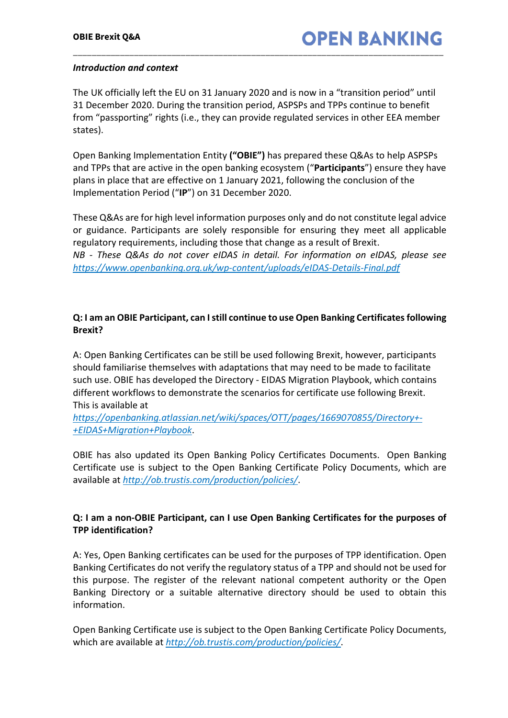#### *Introduction and context*

The UK officially left the EU on 31 January 2020 and is now in a "transition period" until 31 December 2020. During the transition period, ASPSPs and TPPs continue to benefit from "passporting" rights (i.e., they can provide regulated services in other EEA member states).

Open Banking Implementation Entity **("OBIE")** has prepared these Q&As to help ASPSPs and TPPs that are active in the open banking ecosystem ("**Participants**") ensure they have plans in place that are effective on 1 January 2021, following the conclusion of the Implementation Period ("**IP**") on 31 December 2020.

These Q&As are for high level information purposes only and do not constitute legal advice or guidance. Participants are solely responsible for ensuring they meet all applicable regulatory requirements, including those that change as a result of Brexit. *NB - These Q&As do not cover eIDAS in detail. For information on eIDAS, please see <https://www.openbanking.org.uk/wp-content/uploads/eIDAS-Details-Final.pdf>*

#### **Q: I am an OBIE Participant, can Istill continue to use Open Banking Certificatesfollowing Brexit?**

A: Open Banking Certificates can be still be used following Brexit, however, participants should familiarise themselves with adaptations that may need to be made to facilitate such use. OBIE has developed the Directory - EIDAS Migration Playbook, which contains different workflows to demonstrate the scenarios for certificate use following Brexit. This is available at

*[https://openbanking.atlassian.net/wiki/spaces/OTT/pages/1669070855/Directory+-](https://openbanking.atlassian.net/wiki/spaces/OTT/pages/1669070855/Directory+-+EIDAS+Migration+Playbook) [+EIDAS+Migration+Playbook](https://openbanking.atlassian.net/wiki/spaces/OTT/pages/1669070855/Directory+-+EIDAS+Migration+Playbook)*.

OBIE has also updated its Open Banking Policy Certificates Documents. Open Banking Certificate use is subject to the Open Banking Certificate Policy Documents, which are available at *<http://ob.trustis.com/production/policies/>*.

### **Q: I am a non-OBIE Participant, can I use Open Banking Certificates for the purposes of TPP identification?**

A: Yes, Open Banking certificates can be used for the purposes of TPP identification. Open Banking Certificates do not verify the regulatory status of a TPP and should not be used for this purpose. The register of the relevant national competent authority or the Open Banking Directory or a suitable alternative directory should be used to obtain this information.

Open Banking Certificate use is subject to the Open Banking Certificate Policy Documents, which are available at *<http://ob.trustis.com/production/policies/>*.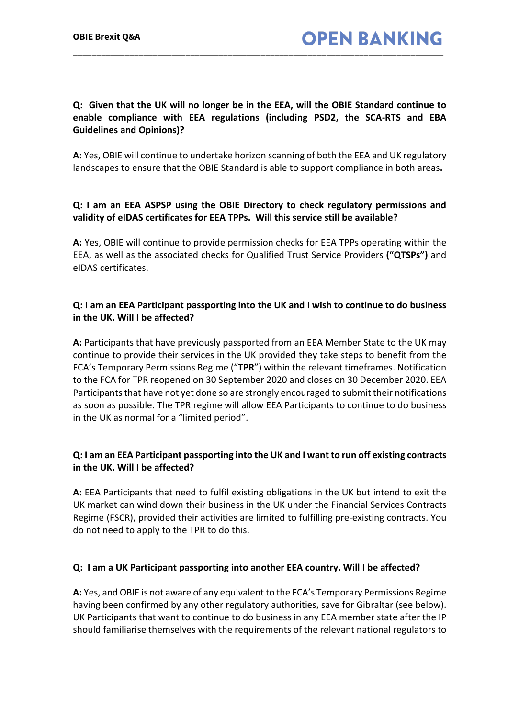### **Q: Given that the UK will no longer be in the EEA, will the OBIE Standard continue to enable compliance with EEA regulations (including PSD2, the SCA-RTS and EBA Guidelines and Opinions)?**

**A:** Yes, OBIE will continue to undertake horizon scanning of both the EEA and UK regulatory landscapes to ensure that the OBIE Standard is able to support compliance in both areas**.**

# **Q: I am an EEA ASPSP using the OBIE Directory to check regulatory permissions and validity of eIDAS certificates for EEA TPPs. Will this service still be available?**

**A:** Yes, OBIE will continue to provide permission checks for EEA TPPs operating within the EEA, as well as the associated checks for Qualified Trust Service Providers **("QTSPs")** and eIDAS certificates.

# **Q: I am an EEA Participant passporting into the UK and I wish to continue to do business in the UK. Will I be affected?**

**A:** Participants that have previously passported from an EEA Member State to the UK may continue to provide their services in the UK provided they take steps to benefit from the FCA's Temporary Permissions Regime ("**TPR**") within the relevant timeframes. Notification to the FCA for TPR reopened on 30 September 2020 and closes on 30 December 2020. EEA Participants that have not yet done so are strongly encouraged to submit their notifications as soon as possible. The TPR regime will allow EEA Participants to continue to do business in the UK as normal for a "limited period".

### **Q: I am an EEA Participant passporting into the UK and I want to run off existing contracts in the UK. Will I be affected?**

**A:** EEA Participants that need to fulfil existing obligations in the UK but intend to exit the UK market can wind down their business in the UK under the Financial Services Contracts Regime (FSCR), provided their activities are limited to fulfilling pre-existing contracts. You do not need to apply to the TPR to do this.

### **Q: I am a UK Participant passporting into another EEA country. Will I be affected?**

**A:** Yes, and OBIE is not aware of any equivalent to the FCA's Temporary Permissions Regime having been confirmed by any other regulatory authorities, save for Gibraltar (see below). UK Participants that want to continue to do business in any EEA member state after the IP should familiarise themselves with the requirements of the relevant national regulators to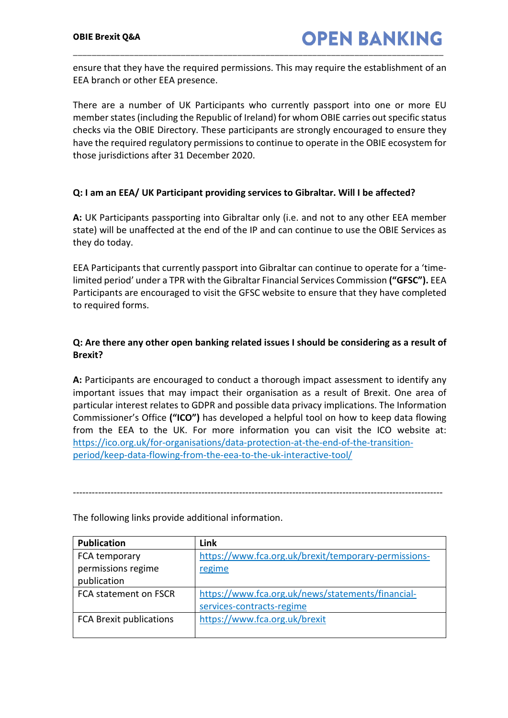ensure that they have the required permissions. This may require the establishment of an EEA branch or other EEA presence.

There are a number of UK Participants who currently passport into one or more EU member states (including the Republic of Ireland) for whom OBIE carries out specific status checks via the OBIE Directory. These participants are strongly encouraged to ensure they have the required regulatory permissions to continue to operate in the OBIE ecosystem for those jurisdictions after 31 December 2020.

#### **Q: I am an EEA/ UK Participant providing services to Gibraltar. Will I be affected?**

**A:** UK Participants passporting into Gibraltar only (i.e. and not to any other EEA member state) will be unaffected at the end of the IP and can continue to use the OBIE Services as they do today.

EEA Participants that currently passport into Gibraltar can continue to operate for a 'timelimited period' under a TPR with the Gibraltar Financial Services Commission **("GFSC").** EEA Participants are encouraged to visit the GFSC website to ensure that they have completed to required forms.

# **Q: Are there any other open banking related issues I should be considering as a result of Brexit?**

**A:** Participants are encouraged to conduct a thorough impact assessment to identify any important issues that may impact their organisation as a result of Brexit. One area of particular interest relates to GDPR and possible data privacy implications. The Information Commissioner's Office **("ICO")** has developed a helpful tool on how to keep data flowing from the EEA to the UK. For more information you can visit the ICO website at: [https://ico.org.uk/for-organisations/data-protection-at-the-end-of-the-transition](https://ico.org.uk/for-organisations/data-protection-at-the-end-of-the-transition-period/keep-data-flowing-from-the-eea-to-the-uk-interactive-tool/)[period/keep-data-flowing-from-the-eea-to-the-uk-interactive-tool/](https://ico.org.uk/for-organisations/data-protection-at-the-end-of-the-transition-period/keep-data-flowing-from-the-eea-to-the-uk-interactive-tool/)

----------------------------------------------------------------------------------------------------------------------

The following links provide additional information.

| <b>Publication</b>             | Link                                                 |
|--------------------------------|------------------------------------------------------|
| FCA temporary                  | https://www.fca.org.uk/brexit/temporary-permissions- |
| permissions regime             | regime                                               |
| publication                    |                                                      |
| <b>FCA statement on FSCR</b>   | https://www.fca.org.uk/news/statements/financial-    |
|                                | services-contracts-regime                            |
| <b>FCA Brexit publications</b> | https://www.fca.org.uk/brexit                        |
|                                |                                                      |